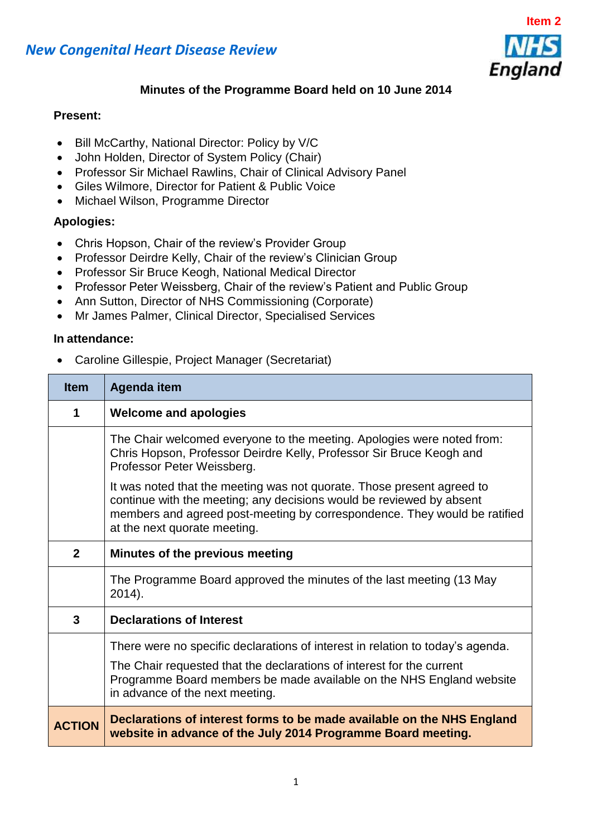



# **Minutes of the Programme Board held on 10 June 2014**

### **Present:**

- Bill McCarthy, National Director: Policy by V/C
- John Holden, Director of System Policy (Chair)
- Professor Sir Michael Rawlins, Chair of Clinical Advisory Panel
- Giles Wilmore, Director for Patient & Public Voice
- Michael Wilson, Programme Director

## **Apologies:**

- Chris Hopson, Chair of the review's Provider Group
- Professor Deirdre Kelly, Chair of the review's Clinician Group
- Professor Sir Bruce Keogh, National Medical Director
- Professor Peter Weissberg, Chair of the review's Patient and Public Group
- Ann Sutton, Director of NHS Commissioning (Corporate)
- Mr James Palmer, Clinical Director, Specialised Services

#### **In attendance:**

Caroline Gillespie, Project Manager (Secretariat)

| <b>Item</b>   | <b>Agenda item</b>                                                                                                                                                                                                                                          |
|---------------|-------------------------------------------------------------------------------------------------------------------------------------------------------------------------------------------------------------------------------------------------------------|
| 1             | <b>Welcome and apologies</b>                                                                                                                                                                                                                                |
|               | The Chair welcomed everyone to the meeting. Apologies were noted from:<br>Chris Hopson, Professor Deirdre Kelly, Professor Sir Bruce Keogh and<br>Professor Peter Weissberg.                                                                                |
|               | It was noted that the meeting was not quorate. Those present agreed to<br>continue with the meeting; any decisions would be reviewed by absent<br>members and agreed post-meeting by correspondence. They would be ratified<br>at the next quorate meeting. |
| $\mathbf{2}$  | Minutes of the previous meeting                                                                                                                                                                                                                             |
|               | The Programme Board approved the minutes of the last meeting (13 May<br>2014).                                                                                                                                                                              |
| 3             | <b>Declarations of Interest</b>                                                                                                                                                                                                                             |
|               | There were no specific declarations of interest in relation to today's agenda.                                                                                                                                                                              |
|               | The Chair requested that the declarations of interest for the current<br>Programme Board members be made available on the NHS England website<br>in advance of the next meeting.                                                                            |
| <b>ACTION</b> | Declarations of interest forms to be made available on the NHS England<br>website in advance of the July 2014 Programme Board meeting.                                                                                                                      |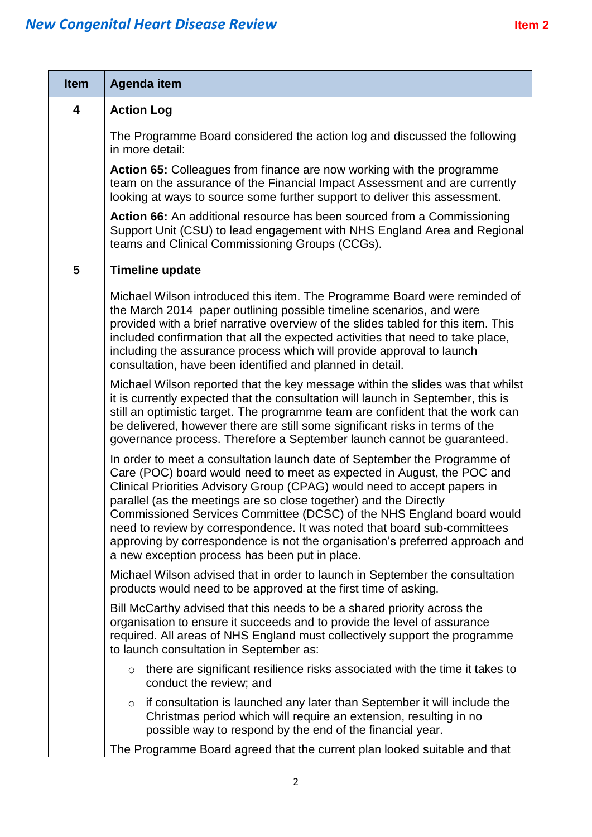# **New Congenital Heart Disease Review <br>
Review 1997 and 2018 and 2019 and 2019 and 2019 and 2019 and 2019 and 2019 and 2019 and 2019 and 2019 and 2019 and 2019 and 2019 and 2019 and 2019 and 2019 and 2019 and 2019 and 2019**

| <b>Item</b>             | Agenda item                                                                                                                                                                                                                                                                                                                                                                                                                                                                                                                                                                                 |
|-------------------------|---------------------------------------------------------------------------------------------------------------------------------------------------------------------------------------------------------------------------------------------------------------------------------------------------------------------------------------------------------------------------------------------------------------------------------------------------------------------------------------------------------------------------------------------------------------------------------------------|
| $\overline{\mathbf{4}}$ | <b>Action Log</b>                                                                                                                                                                                                                                                                                                                                                                                                                                                                                                                                                                           |
|                         | The Programme Board considered the action log and discussed the following<br>in more detail:                                                                                                                                                                                                                                                                                                                                                                                                                                                                                                |
|                         | <b>Action 65:</b> Colleagues from finance are now working with the programme<br>team on the assurance of the Financial Impact Assessment and are currently<br>looking at ways to source some further support to deliver this assessment.                                                                                                                                                                                                                                                                                                                                                    |
|                         | Action 66: An additional resource has been sourced from a Commissioning<br>Support Unit (CSU) to lead engagement with NHS England Area and Regional<br>teams and Clinical Commissioning Groups (CCGs).                                                                                                                                                                                                                                                                                                                                                                                      |
| 5                       | <b>Timeline update</b>                                                                                                                                                                                                                                                                                                                                                                                                                                                                                                                                                                      |
|                         | Michael Wilson introduced this item. The Programme Board were reminded of<br>the March 2014 paper outlining possible timeline scenarios, and were<br>provided with a brief narrative overview of the slides tabled for this item. This<br>included confirmation that all the expected activities that need to take place,<br>including the assurance process which will provide approval to launch<br>consultation, have been identified and planned in detail.                                                                                                                             |
|                         | Michael Wilson reported that the key message within the slides was that whilst<br>it is currently expected that the consultation will launch in September, this is<br>still an optimistic target. The programme team are confident that the work can<br>be delivered, however there are still some significant risks in terms of the<br>governance process. Therefore a September launch cannot be guaranteed.                                                                                                                                                                              |
|                         | In order to meet a consultation launch date of September the Programme of<br>Care (POC) board would need to meet as expected in August, the POC and<br>Clinical Priorities Advisory Group (CPAG) would need to accept papers in<br>parallel (as the meetings are so close together) and the Directly<br>Commissioned Services Committee (DCSC) of the NHS England board would<br>need to review by correspondence. It was noted that board sub-committees<br>approving by correspondence is not the organisation's preferred approach and<br>a new exception process has been put in place. |
|                         | Michael Wilson advised that in order to launch in September the consultation<br>products would need to be approved at the first time of asking.                                                                                                                                                                                                                                                                                                                                                                                                                                             |
|                         | Bill McCarthy advised that this needs to be a shared priority across the<br>organisation to ensure it succeeds and to provide the level of assurance<br>required. All areas of NHS England must collectively support the programme<br>to launch consultation in September as:                                                                                                                                                                                                                                                                                                               |
|                         | there are significant resilience risks associated with the time it takes to<br>$\circ$<br>conduct the review; and                                                                                                                                                                                                                                                                                                                                                                                                                                                                           |
|                         | if consultation is launched any later than September it will include the<br>$\circ$<br>Christmas period which will require an extension, resulting in no<br>possible way to respond by the end of the financial year.                                                                                                                                                                                                                                                                                                                                                                       |
|                         | The Programme Board agreed that the current plan looked suitable and that                                                                                                                                                                                                                                                                                                                                                                                                                                                                                                                   |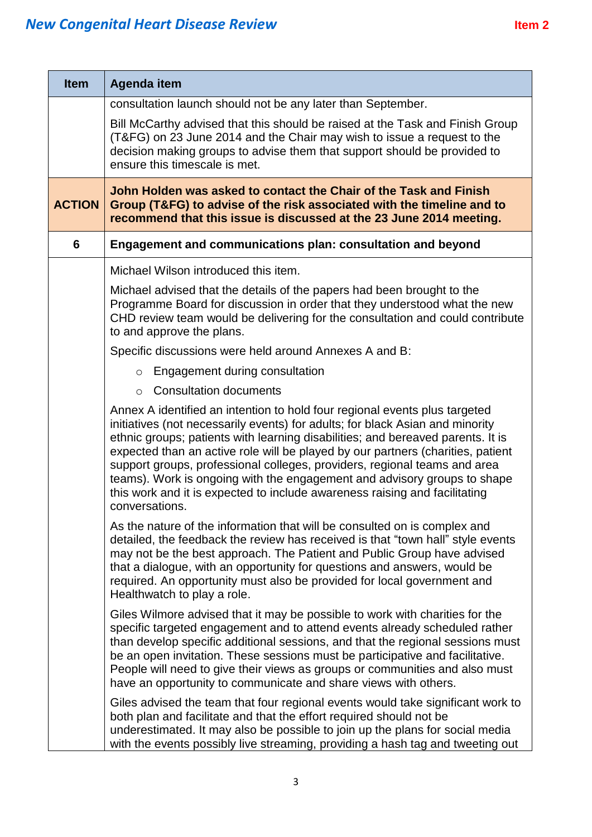| <b>Item</b>   | <b>Agenda item</b>                                                                                                                                                                                                                                                                                                                                                                                                                                                                                                                                                                         |
|---------------|--------------------------------------------------------------------------------------------------------------------------------------------------------------------------------------------------------------------------------------------------------------------------------------------------------------------------------------------------------------------------------------------------------------------------------------------------------------------------------------------------------------------------------------------------------------------------------------------|
|               | consultation launch should not be any later than September.                                                                                                                                                                                                                                                                                                                                                                                                                                                                                                                                |
|               | Bill McCarthy advised that this should be raised at the Task and Finish Group<br>(T&FG) on 23 June 2014 and the Chair may wish to issue a request to the<br>decision making groups to advise them that support should be provided to<br>ensure this timescale is met.                                                                                                                                                                                                                                                                                                                      |
| <b>ACTION</b> | John Holden was asked to contact the Chair of the Task and Finish<br>Group (T&FG) to advise of the risk associated with the timeline and to<br>recommend that this issue is discussed at the 23 June 2014 meeting.                                                                                                                                                                                                                                                                                                                                                                         |
| 6             | Engagement and communications plan: consultation and beyond                                                                                                                                                                                                                                                                                                                                                                                                                                                                                                                                |
|               | Michael Wilson introduced this item.                                                                                                                                                                                                                                                                                                                                                                                                                                                                                                                                                       |
|               | Michael advised that the details of the papers had been brought to the<br>Programme Board for discussion in order that they understood what the new<br>CHD review team would be delivering for the consultation and could contribute<br>to and approve the plans.                                                                                                                                                                                                                                                                                                                          |
|               | Specific discussions were held around Annexes A and B:                                                                                                                                                                                                                                                                                                                                                                                                                                                                                                                                     |
|               | Engagement during consultation<br>$\circ$                                                                                                                                                                                                                                                                                                                                                                                                                                                                                                                                                  |
|               | <b>Consultation documents</b><br>$\circ$                                                                                                                                                                                                                                                                                                                                                                                                                                                                                                                                                   |
|               | Annex A identified an intention to hold four regional events plus targeted<br>initiatives (not necessarily events) for adults; for black Asian and minority<br>ethnic groups; patients with learning disabilities; and bereaved parents. It is<br>expected than an active role will be played by our partners (charities, patient<br>support groups, professional colleges, providers, regional teams and area<br>teams). Work is ongoing with the engagement and advisory groups to shape<br>this work and it is expected to include awareness raising and facilitating<br>conversations. |
|               | As the nature of the information that will be consulted on is complex and<br>detailed, the feedback the review has received is that "town hall" style events<br>may not be the best approach. The Patient and Public Group have advised<br>that a dialogue, with an opportunity for questions and answers, would be<br>required. An opportunity must also be provided for local government and<br>Healthwatch to play a role.                                                                                                                                                              |
|               | Giles Wilmore advised that it may be possible to work with charities for the<br>specific targeted engagement and to attend events already scheduled rather<br>than develop specific additional sessions, and that the regional sessions must<br>be an open invitation. These sessions must be participative and facilitative.<br>People will need to give their views as groups or communities and also must<br>have an opportunity to communicate and share views with others.                                                                                                            |
|               | Giles advised the team that four regional events would take significant work to<br>both plan and facilitate and that the effort required should not be<br>underestimated. It may also be possible to join up the plans for social media<br>with the events possibly live streaming, providing a hash tag and tweeting out                                                                                                                                                                                                                                                                  |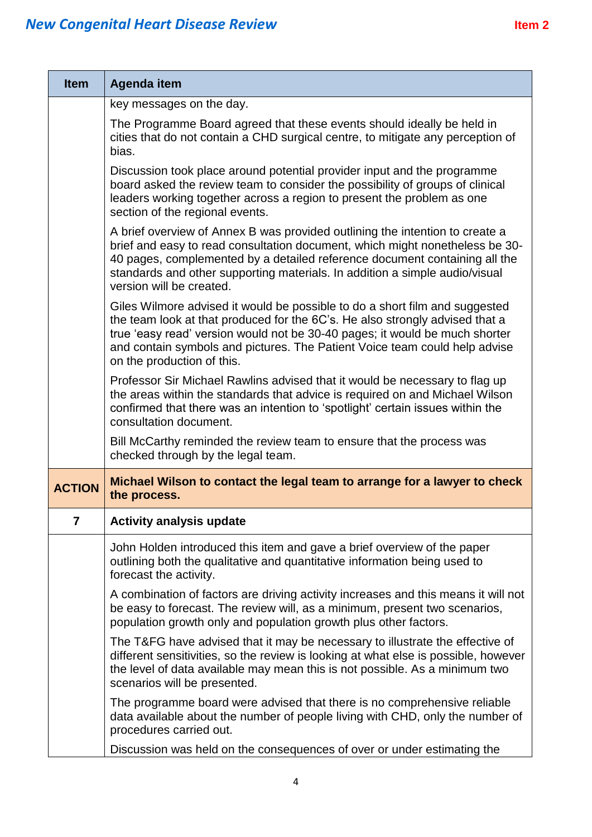| <b>Item</b>   | <b>Agenda item</b>                                                                                                                                                                                                                                                                                                                                     |
|---------------|--------------------------------------------------------------------------------------------------------------------------------------------------------------------------------------------------------------------------------------------------------------------------------------------------------------------------------------------------------|
|               | key messages on the day.                                                                                                                                                                                                                                                                                                                               |
|               | The Programme Board agreed that these events should ideally be held in<br>cities that do not contain a CHD surgical centre, to mitigate any perception of<br>bias.                                                                                                                                                                                     |
|               | Discussion took place around potential provider input and the programme<br>board asked the review team to consider the possibility of groups of clinical<br>leaders working together across a region to present the problem as one<br>section of the regional events.                                                                                  |
|               | A brief overview of Annex B was provided outlining the intention to create a<br>brief and easy to read consultation document, which might nonetheless be 30-<br>40 pages, complemented by a detailed reference document containing all the<br>standards and other supporting materials. In addition a simple audio/visual<br>version will be created.  |
|               | Giles Wilmore advised it would be possible to do a short film and suggested<br>the team look at that produced for the 6C's. He also strongly advised that a<br>true 'easy read' version would not be 30-40 pages; it would be much shorter<br>and contain symbols and pictures. The Patient Voice team could help advise<br>on the production of this. |
|               | Professor Sir Michael Rawlins advised that it would be necessary to flag up<br>the areas within the standards that advice is required on and Michael Wilson<br>confirmed that there was an intention to 'spotlight' certain issues within the<br>consultation document.                                                                                |
|               | Bill McCarthy reminded the review team to ensure that the process was<br>checked through by the legal team.                                                                                                                                                                                                                                            |
| <b>ACTION</b> | Michael Wilson to contact the legal team to arrange for a lawyer to check<br>the process.                                                                                                                                                                                                                                                              |
| 7             | <b>Activity analysis update</b>                                                                                                                                                                                                                                                                                                                        |
|               | John Holden introduced this item and gave a brief overview of the paper<br>outlining both the qualitative and quantitative information being used to<br>forecast the activity.                                                                                                                                                                         |
|               | A combination of factors are driving activity increases and this means it will not<br>be easy to forecast. The review will, as a minimum, present two scenarios,<br>population growth only and population growth plus other factors.                                                                                                                   |
|               | The T&FG have advised that it may be necessary to illustrate the effective of<br>different sensitivities, so the review is looking at what else is possible, however<br>the level of data available may mean this is not possible. As a minimum two<br>scenarios will be presented.                                                                    |
|               | The programme board were advised that there is no comprehensive reliable<br>data available about the number of people living with CHD, only the number of<br>procedures carried out.                                                                                                                                                                   |
|               | Discussion was held on the consequences of over or under estimating the                                                                                                                                                                                                                                                                                |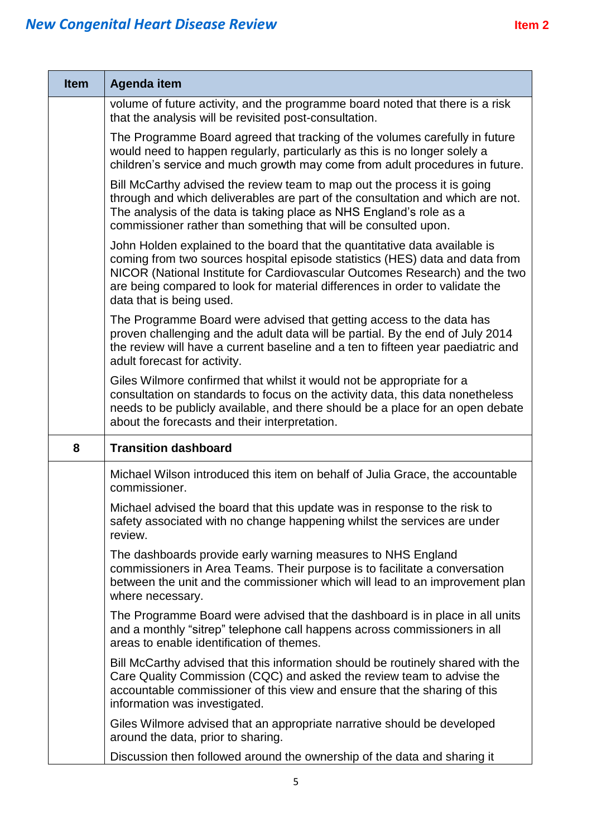| <b>Item</b> | Agenda item                                                                                                                                                                                                                                                                                                                                           |
|-------------|-------------------------------------------------------------------------------------------------------------------------------------------------------------------------------------------------------------------------------------------------------------------------------------------------------------------------------------------------------|
|             | volume of future activity, and the programme board noted that there is a risk<br>that the analysis will be revisited post-consultation.                                                                                                                                                                                                               |
|             | The Programme Board agreed that tracking of the volumes carefully in future<br>would need to happen regularly, particularly as this is no longer solely a<br>children's service and much growth may come from adult procedures in future.                                                                                                             |
|             | Bill McCarthy advised the review team to map out the process it is going<br>through and which deliverables are part of the consultation and which are not.<br>The analysis of the data is taking place as NHS England's role as a<br>commissioner rather than something that will be consulted upon.                                                  |
|             | John Holden explained to the board that the quantitative data available is<br>coming from two sources hospital episode statistics (HES) data and data from<br>NICOR (National Institute for Cardiovascular Outcomes Research) and the two<br>are being compared to look for material differences in order to validate the<br>data that is being used. |
|             | The Programme Board were advised that getting access to the data has<br>proven challenging and the adult data will be partial. By the end of July 2014<br>the review will have a current baseline and a ten to fifteen year paediatric and<br>adult forecast for activity.                                                                            |
|             | Giles Wilmore confirmed that whilst it would not be appropriate for a<br>consultation on standards to focus on the activity data, this data nonetheless<br>needs to be publicly available, and there should be a place for an open debate<br>about the forecasts and their interpretation.                                                            |
| 8           | <b>Transition dashboard</b>                                                                                                                                                                                                                                                                                                                           |
|             | Michael Wilson introduced this item on behalf of Julia Grace, the accountable<br>commissioner.                                                                                                                                                                                                                                                        |
|             | Michael advised the board that this update was in response to the risk to<br>safety associated with no change happening whilst the services are under<br>review.                                                                                                                                                                                      |
|             | The dashboards provide early warning measures to NHS England<br>commissioners in Area Teams. Their purpose is to facilitate a conversation<br>between the unit and the commissioner which will lead to an improvement plan<br>where necessary.                                                                                                        |
|             | The Programme Board were advised that the dashboard is in place in all units<br>and a monthly "sitrep" telephone call happens across commissioners in all<br>areas to enable identification of themes.                                                                                                                                                |
|             | Bill McCarthy advised that this information should be routinely shared with the<br>Care Quality Commission (CQC) and asked the review team to advise the<br>accountable commissioner of this view and ensure that the sharing of this<br>information was investigated.                                                                                |
|             | Giles Wilmore advised that an appropriate narrative should be developed<br>around the data, prior to sharing.                                                                                                                                                                                                                                         |
|             | Discussion then followed around the ownership of the data and sharing it                                                                                                                                                                                                                                                                              |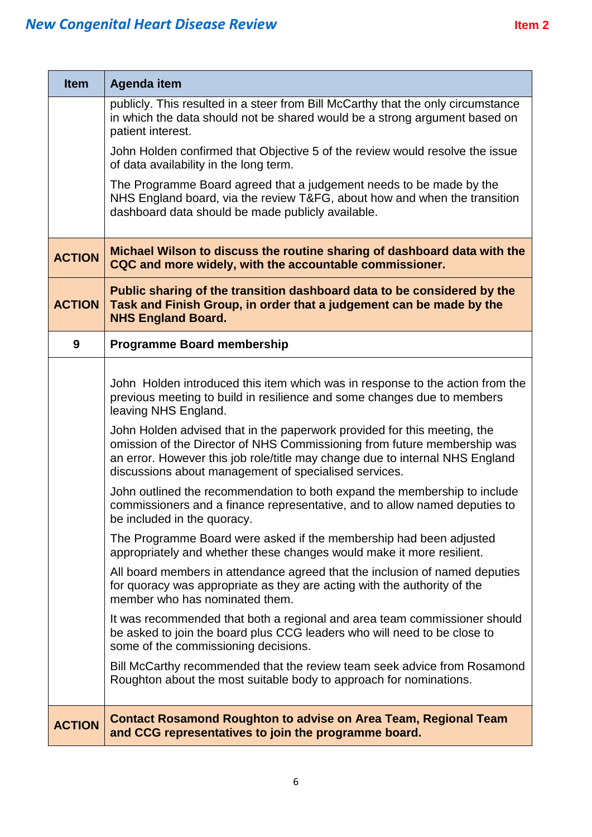| <b>Item</b>   | <b>Agenda item</b>                                                                                                                                                                                                                                                                            |
|---------------|-----------------------------------------------------------------------------------------------------------------------------------------------------------------------------------------------------------------------------------------------------------------------------------------------|
|               | publicly. This resulted in a steer from Bill McCarthy that the only circumstance<br>in which the data should not be shared would be a strong argument based on<br>patient interest.                                                                                                           |
|               | John Holden confirmed that Objective 5 of the review would resolve the issue<br>of data availability in the long term.                                                                                                                                                                        |
|               | The Programme Board agreed that a judgement needs to be made by the<br>NHS England board, via the review T&FG, about how and when the transition<br>dashboard data should be made publicly available.                                                                                         |
| <b>ACTION</b> | Michael Wilson to discuss the routine sharing of dashboard data with the<br>CQC and more widely, with the accountable commissioner.                                                                                                                                                           |
| <b>ACTION</b> | Public sharing of the transition dashboard data to be considered by the<br>Task and Finish Group, in order that a judgement can be made by the<br><b>NHS England Board.</b>                                                                                                                   |
| 9             | <b>Programme Board membership</b>                                                                                                                                                                                                                                                             |
|               | John Holden introduced this item which was in response to the action from the<br>previous meeting to build in resilience and some changes due to members<br>leaving NHS England.                                                                                                              |
|               | John Holden advised that in the paperwork provided for this meeting, the<br>omission of the Director of NHS Commissioning from future membership was<br>an error. However this job role/title may change due to internal NHS England<br>discussions about management of specialised services. |
|               | John outlined the recommendation to both expand the membership to include<br>commissioners and a finance representative, and to allow named deputies to<br>be included in the quoracy.                                                                                                        |
|               | The Programme Board were asked if the membership had been adjusted<br>appropriately and whether these changes would make it more resilient.                                                                                                                                                   |
|               | All board members in attendance agreed that the inclusion of named deputies<br>for quoracy was appropriate as they are acting with the authority of the<br>member who has nominated them.                                                                                                     |
|               | It was recommended that both a regional and area team commissioner should<br>be asked to join the board plus CCG leaders who will need to be close to<br>some of the commissioning decisions.                                                                                                 |
|               | Bill McCarthy recommended that the review team seek advice from Rosamond<br>Roughton about the most suitable body to approach for nominations.                                                                                                                                                |
| <b>ACTION</b> | <b>Contact Rosamond Roughton to advise on Area Team, Regional Team</b><br>and CCG representatives to join the programme board.                                                                                                                                                                |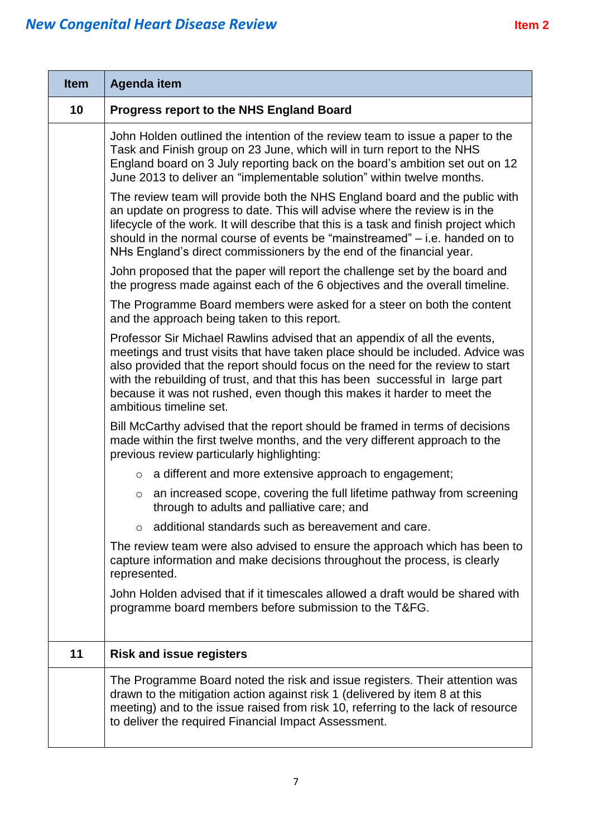| <b>Item</b> | <b>Agenda item</b>                                                                                                                                                                                                                                                                                                                                                                                                                   |
|-------------|--------------------------------------------------------------------------------------------------------------------------------------------------------------------------------------------------------------------------------------------------------------------------------------------------------------------------------------------------------------------------------------------------------------------------------------|
| 10          | <b>Progress report to the NHS England Board</b>                                                                                                                                                                                                                                                                                                                                                                                      |
|             | John Holden outlined the intention of the review team to issue a paper to the<br>Task and Finish group on 23 June, which will in turn report to the NHS<br>England board on 3 July reporting back on the board's ambition set out on 12<br>June 2013 to deliver an "implementable solution" within twelve months.                                                                                                                    |
|             | The review team will provide both the NHS England board and the public with<br>an update on progress to date. This will advise where the review is in the<br>lifecycle of the work. It will describe that this is a task and finish project which<br>should in the normal course of events be "mainstreamed" – i.e. handed on to<br>NHs England's direct commissioners by the end of the financial year.                             |
|             | John proposed that the paper will report the challenge set by the board and<br>the progress made against each of the 6 objectives and the overall timeline.                                                                                                                                                                                                                                                                          |
|             | The Programme Board members were asked for a steer on both the content<br>and the approach being taken to this report.                                                                                                                                                                                                                                                                                                               |
|             | Professor Sir Michael Rawlins advised that an appendix of all the events,<br>meetings and trust visits that have taken place should be included. Advice was<br>also provided that the report should focus on the need for the review to start<br>with the rebuilding of trust, and that this has been successful in large part<br>because it was not rushed, even though this makes it harder to meet the<br>ambitious timeline set. |
|             | Bill McCarthy advised that the report should be framed in terms of decisions<br>made within the first twelve months, and the very different approach to the<br>previous review particularly highlighting:                                                                                                                                                                                                                            |
|             | a different and more extensive approach to engagement;<br>$\circ$                                                                                                                                                                                                                                                                                                                                                                    |
|             | an increased scope, covering the full lifetime pathway from screening<br>$\circ$<br>through to adults and palliative care; and                                                                                                                                                                                                                                                                                                       |
|             | additional standards such as bereavement and care.<br>$\circ$                                                                                                                                                                                                                                                                                                                                                                        |
|             | The review team were also advised to ensure the approach which has been to<br>capture information and make decisions throughout the process, is clearly<br>represented.                                                                                                                                                                                                                                                              |
|             | John Holden advised that if it timescales allowed a draft would be shared with<br>programme board members before submission to the T&FG.                                                                                                                                                                                                                                                                                             |
| 11          | <b>Risk and issue registers</b>                                                                                                                                                                                                                                                                                                                                                                                                      |
|             | The Programme Board noted the risk and issue registers. Their attention was<br>drawn to the mitigation action against risk 1 (delivered by item 8 at this<br>meeting) and to the issue raised from risk 10, referring to the lack of resource<br>to deliver the required Financial Impact Assessment.                                                                                                                                |